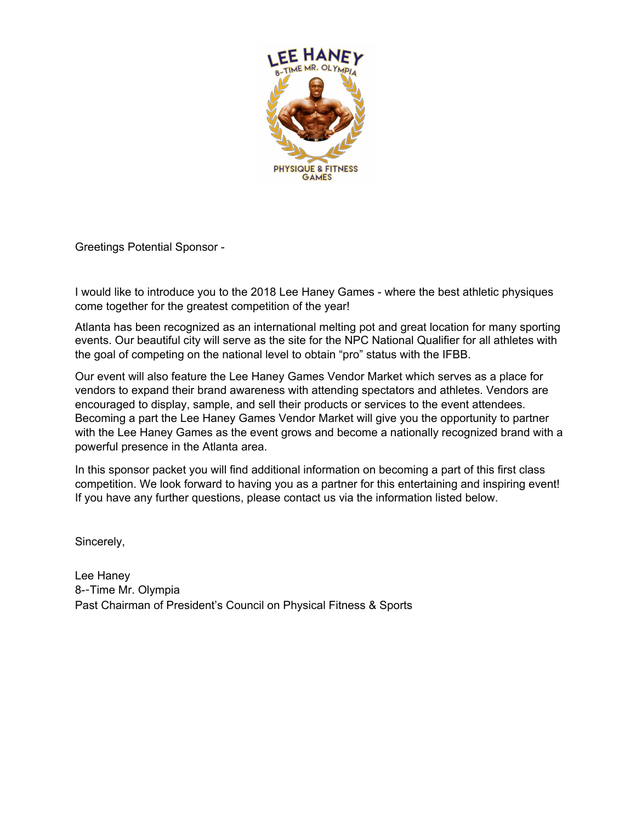

Greetings Potential Sponsor -

I would like to introduce you to the 2018 Lee Haney Games - where the best athletic physiques come together for the greatest competition of the year!

Atlanta has been recognized as an international melting pot and great location for many sporting events. Our beautiful city will serve as the site for the NPC National Qualifier for all athletes with the goal of competing on the national level to obtain "pro" status with the IFBB.

Our event will also feature the Lee Haney Games Vendor Market which serves as a place for vendors to expand their brand awareness with attending spectators and athletes. Vendors are encouraged to display, sample, and sell their products or services to the event attendees. Becoming a part the Lee Haney Games Vendor Market will give you the opportunity to partner with the Lee Haney Games as the event grows and become a nationally recognized brand with a powerful presence in the Atlanta area.

In this sponsor packet you will find additional information on becoming a part of this first class competition. We look forward to having you as a partner for this entertaining and inspiring event! If you have any further questions, please contact us via the information listed below.

Sincerely,

Lee Haney 8--Time Mr. Olympia Past Chairman of President's Council on Physical Fitness & Sports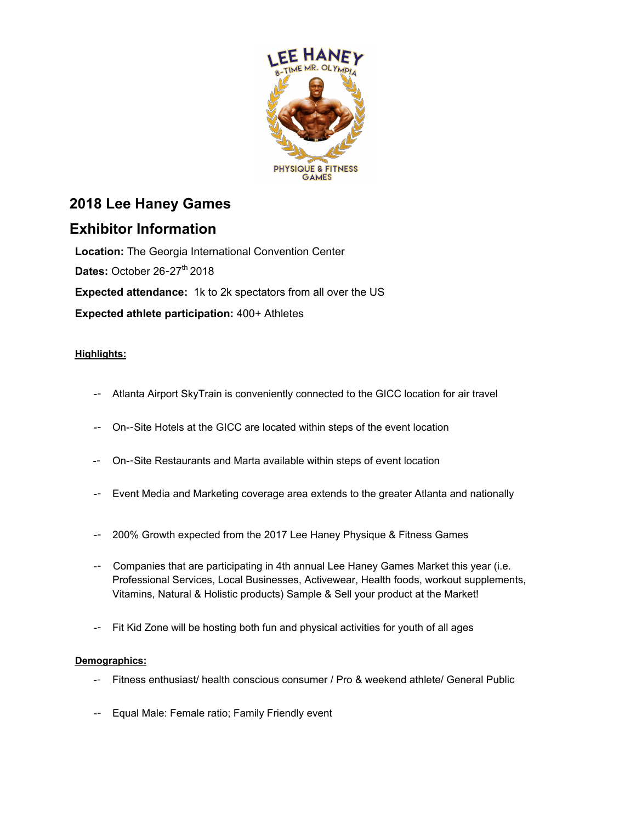

## **2018 Lee Haney Games**

### **Exhibitor Information**

**Location:** The Georgia International Convention Center **Dates: October 26-27<sup>th</sup> 2018 Expected attendance:** 1k to 2k spectators from all over the US **Expected athlete participation:** 400+ Athletes

#### **Highlights:**

- -- Atlanta Airport SkyTrain is conveniently connected to the GICC location for air travel
- -- On--Site Hotels at the GICC are located within steps of the event location
- -- On--Site Restaurants and Marta available within steps of event location
- -- Event Media and Marketing coverage area extends to the greater Atlanta and nationally
- -- 200% Growth expected from the 2017 Lee Haney Physique & Fitness Games
- -- Companies that are participating in 4th annual Lee Haney Games Market this year (i.e. Professional Services, Local Businesses, Activewear, Health foods, workout supplements, Vitamins, Natural & Holistic products) Sample & Sell your product at the Market!
- -- Fit Kid Zone will be hosting both fun and physical activities for youth of all ages

#### **Demographics:**

- -- Fitness enthusiast/ health conscious consumer / Pro & weekend athlete/ General Public
- -- Equal Male: Female ratio; Family Friendly event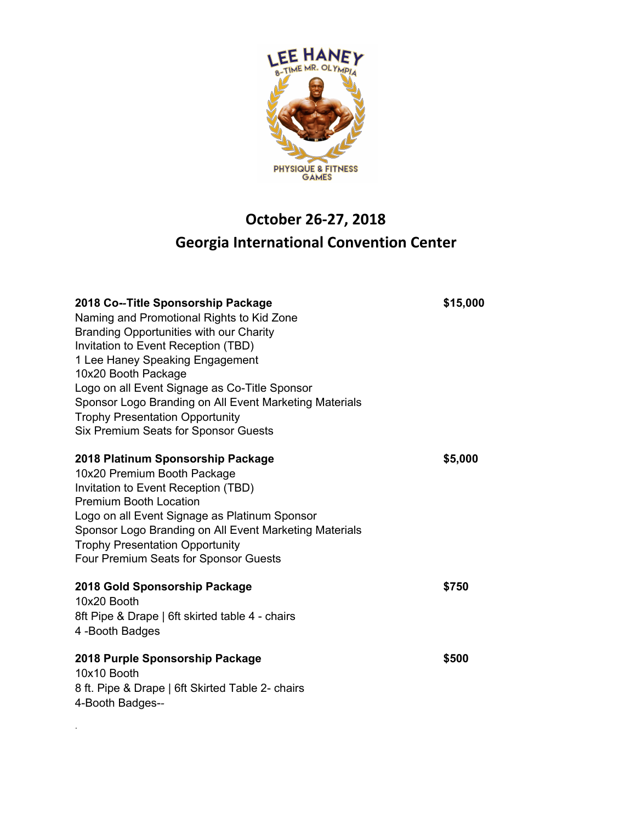

# **October 26-27, 2018 Georgia International Convention Center**

| 2018 Co--Title Sponsorship Package<br>Naming and Promotional Rights to Kid Zone<br>Branding Opportunities with our Charity<br>Invitation to Event Reception (TBD)<br>1 Lee Haney Speaking Engagement<br>10x20 Booth Package<br>Logo on all Event Signage as Co-Title Sponsor<br>Sponsor Logo Branding on All Event Marketing Materials<br><b>Trophy Presentation Opportunity</b><br><b>Six Premium Seats for Sponsor Guests</b> | \$15,000 |
|---------------------------------------------------------------------------------------------------------------------------------------------------------------------------------------------------------------------------------------------------------------------------------------------------------------------------------------------------------------------------------------------------------------------------------|----------|
| 2018 Platinum Sponsorship Package<br>10x20 Premium Booth Package<br>Invitation to Event Reception (TBD)<br><b>Premium Booth Location</b><br>Logo on all Event Signage as Platinum Sponsor<br>Sponsor Logo Branding on All Event Marketing Materials<br><b>Trophy Presentation Opportunity</b><br>Four Premium Seats for Sponsor Guests                                                                                          | \$5,000  |
| 2018 Gold Sponsorship Package<br>10x20 Booth<br>8ft Pipe & Drape   6ft skirted table 4 - chairs<br>4-Booth Badges                                                                                                                                                                                                                                                                                                               | \$750    |
| 2018 Purple Sponsorship Package<br>10x10 Booth<br>8 ft. Pipe & Drape   6ft Skirted Table 2- chairs<br>4-Booth Badges--                                                                                                                                                                                                                                                                                                          | \$500    |

.